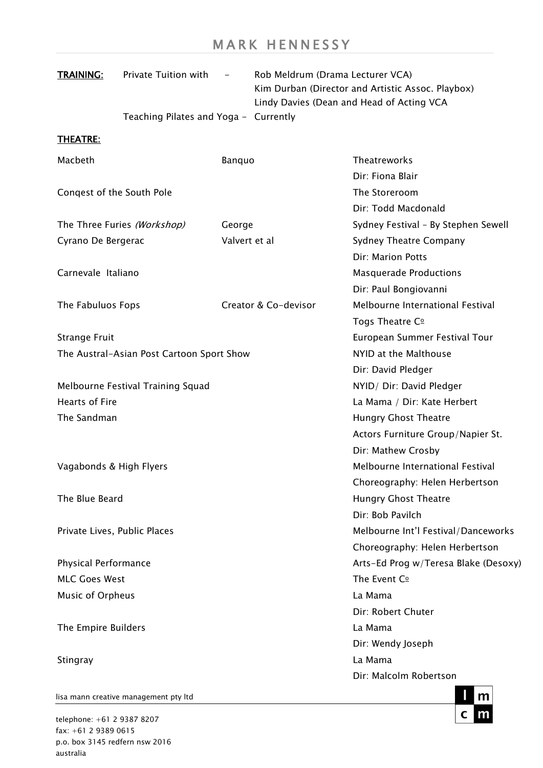| <b>TRAINING:</b>                          | Private Tuition with                  | $\equiv$      |                               | Rob Meldrum (Drama Lecturer VCA)<br>Kim Durban (Director and Artistic Assoc. Playbox)<br>Lindy Davies (Dean and Head of Acting VCA |
|-------------------------------------------|---------------------------------------|---------------|-------------------------------|------------------------------------------------------------------------------------------------------------------------------------|
|                                           | Teaching Pilates and Yoga - Currently |               |                               |                                                                                                                                    |
| <b>THEATRE:</b>                           |                                       |               |                               |                                                                                                                                    |
| Macbeth                                   |                                       | Banquo        |                               | <b>Theatreworks</b>                                                                                                                |
|                                           |                                       |               |                               | Dir: Fiona Blair                                                                                                                   |
| Conqest of the South Pole                 |                                       |               | The Storeroom                 |                                                                                                                                    |
|                                           |                                       |               |                               | Dir: Todd Macdonald                                                                                                                |
|                                           | The Three Furies (Workshop)           | George        |                               | Sydney Festival - By Stephen Sewell                                                                                                |
| Cyrano De Bergerac                        |                                       | Valvert et al |                               | <b>Sydney Theatre Company</b>                                                                                                      |
|                                           |                                       |               |                               | Dir: Marion Potts                                                                                                                  |
| Carnevale Italiano                        |                                       |               | <b>Masquerade Productions</b> |                                                                                                                                    |
|                                           |                                       |               |                               | Dir: Paul Bongiovanni                                                                                                              |
| The Fabuluos Fops                         |                                       |               | Creator & Co-devisor          | Melbourne International Festival                                                                                                   |
|                                           |                                       |               |                               | Togs Theatre C <sup>o</sup>                                                                                                        |
| <b>Strange Fruit</b>                      |                                       |               |                               | European Summer Festival Tour                                                                                                      |
| The Austral-Asian Post Cartoon Sport Show |                                       |               | NYID at the Malthouse         |                                                                                                                                    |
|                                           |                                       |               |                               | Dir: David Pledger                                                                                                                 |
| Melbourne Festival Training Squad         |                                       |               |                               | NYID/ Dir: David Pledger                                                                                                           |
| <b>Hearts of Fire</b>                     |                                       |               |                               | La Mama / Dir: Kate Herbert                                                                                                        |
| The Sandman                               |                                       |               |                               | <b>Hungry Ghost Theatre</b>                                                                                                        |
|                                           |                                       |               |                               | Actors Furniture Group/Napier St.                                                                                                  |
|                                           |                                       |               |                               | Dir: Mathew Crosby                                                                                                                 |
| Vagabonds & High Flyers                   |                                       |               |                               | Melbourne International Festival                                                                                                   |
|                                           |                                       |               |                               | Choreography: Helen Herbertson                                                                                                     |
| The Blue Beard                            |                                       |               |                               | <b>Hungry Ghost Theatre</b>                                                                                                        |
|                                           |                                       |               |                               | Dir: Bob Pavilch                                                                                                                   |
| Private Lives, Public Places              |                                       |               |                               | Melbourne Int'l Festival/Danceworks                                                                                                |
|                                           |                                       |               |                               | Choreography: Helen Herbertson                                                                                                     |
| Physical Performance                      |                                       |               |                               | Arts-Ed Prog w/Teresa Blake (Desoxy)                                                                                               |
| <b>MLC Goes West</b>                      |                                       |               |                               | The Event Co                                                                                                                       |
| Music of Orpheus                          |                                       | La Mama       |                               |                                                                                                                                    |
|                                           |                                       |               |                               | Dir: Robert Chuter                                                                                                                 |
| The Empire Builders                       |                                       |               |                               | La Mama                                                                                                                            |
|                                           |                                       |               |                               | Dir: Wendy Joseph                                                                                                                  |
| Stingray                                  |                                       |               |                               | La Mama                                                                                                                            |
|                                           |                                       |               |                               | Dir: Malcolm Robertson                                                                                                             |
|                                           |                                       |               |                               |                                                                                                                                    |

 $m$  $\mathsf{c}$ m

lisa mann creative management pty ltd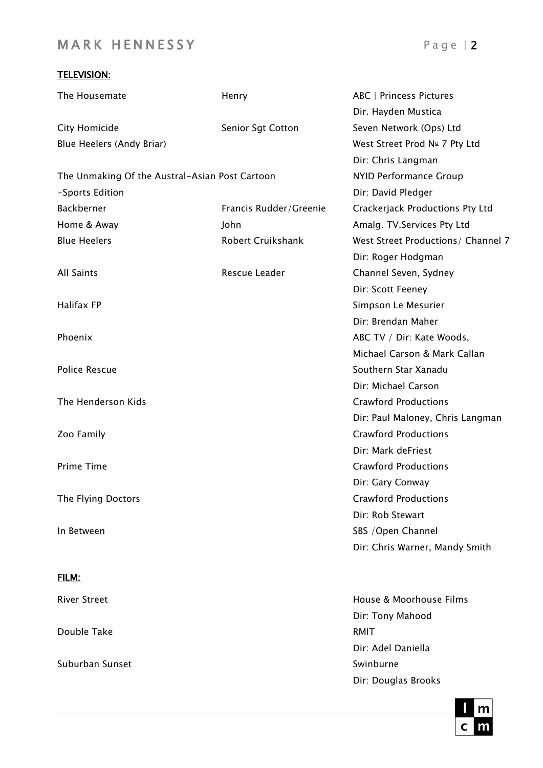## TELEVISION:

| The Housemate                                  | Henry                         | ABC   Princess Pictures            |  |
|------------------------------------------------|-------------------------------|------------------------------------|--|
|                                                |                               | Dir. Hayden Mustica                |  |
| City Homicide                                  | Senior Sgt Cotton             | Seven Network (Ops) Ltd            |  |
| Blue Heelers (Andy Briar)                      |                               | West Street Prod Nº 7 Pty Ltd      |  |
|                                                |                               | Dir: Chris Langman                 |  |
| The Unmaking Of the Austral-Asian Post Cartoon | <b>NYID Performance Group</b> |                                    |  |
| -Sports Edition                                |                               | Dir: David Pledger                 |  |
| Backberner                                     | Francis Rudder/Greenie        | Crackerjack Productions Pty Ltd    |  |
| Home & Away                                    | John                          | Amalg. TV. Services Pty Ltd        |  |
| <b>Blue Heelers</b>                            | Robert Cruikshank             | West Street Productions/ Channel 7 |  |
|                                                |                               | Dir: Roger Hodgman                 |  |
| <b>All Saints</b>                              | Rescue Leader                 | Channel Seven, Sydney              |  |
|                                                |                               | Dir: Scott Feeney                  |  |
| Halifax FP                                     |                               | Simpson Le Mesurier                |  |
|                                                |                               | Dir: Brendan Maher                 |  |
| Phoenix                                        |                               | ABC TV / Dir: Kate Woods,          |  |
|                                                |                               | Michael Carson & Mark Callan       |  |
| <b>Police Rescue</b>                           |                               | Southern Star Xanadu               |  |
|                                                |                               | Dir: Michael Carson                |  |
| The Henderson Kids                             |                               | <b>Crawford Productions</b>        |  |
|                                                |                               | Dir: Paul Maloney, Chris Langman   |  |
| Zoo Family                                     |                               | <b>Crawford Productions</b>        |  |
|                                                |                               | Dir: Mark deFriest                 |  |
| Prime Time                                     |                               | <b>Crawford Productions</b>        |  |
|                                                |                               | Dir: Gary Conway                   |  |
| The Flying Doctors                             |                               | <b>Crawford Productions</b>        |  |
|                                                |                               | Dir: Rob Stewart                   |  |
| In Between                                     |                               | SBS / Open Channel                 |  |
|                                                |                               | Dir: Chris Warner, Mandy Smith     |  |
| FILM:                                          |                               |                                    |  |
| <b>River Street</b>                            |                               | House & Moorhouse Films            |  |
|                                                |                               | Dir: Tony Mahood                   |  |
| Double Take                                    |                               | <b>RMIT</b>                        |  |

Suburban Sunset Swinburne



Dir: Adel Daniella

Dir: Douglas Brooks